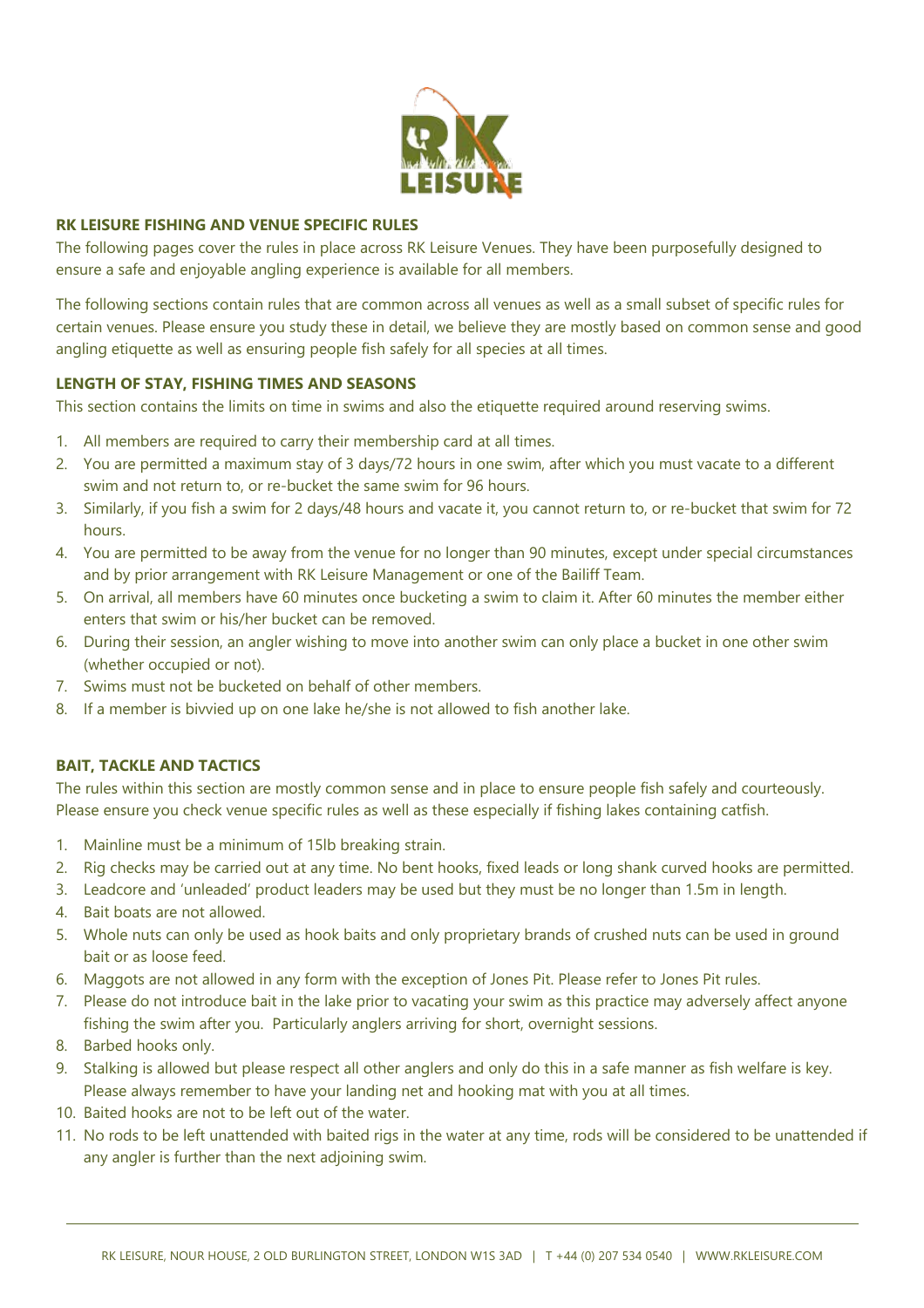

### **RK LEISURE FISHING AND VENUE SPECIFIC RULES**

The following pages cover the rules in place across RK Leisure Venues. They have been purposefully designed to ensure a safe and enjoyable angling experience is available for all members.

The following sections contain rules that are common across all venues as well as a small subset of specific rules for certain venues. Please ensure you study these in detail, we believe they are mostly based on common sense and good angling etiquette as well as ensuring people fish safely for all species at all times.

### **LENGTH OF STAY, FISHING TIMES AND SEASONS**

This section contains the limits on time in swims and also the etiquette required around reserving swims.

- 1. All members are required to carry their membership card at all times.
- 2. You are permitted a maximum stay of 3 days/72 hours in one swim, after which you must vacate to a different swim and not return to, or re-bucket the same swim for 96 hours.
- 3. Similarly, if you fish a swim for 2 days/48 hours and vacate it, you cannot return to, or re-bucket that swim for 72 hours.
- 4. You are permitted to be away from the venue for no longer than 90 minutes, except under special circumstances and by prior arrangement with RK Leisure Management or one of the Bailiff Team.
- 5. On arrival, all members have 60 minutes once bucketing a swim to claim it. After 60 minutes the member either enters that swim or his/her bucket can be removed.
- 6. During their session, an angler wishing to move into another swim can only place a bucket in one other swim (whether occupied or not).
- 7. Swims must not be bucketed on behalf of other members.
- 8. If a member is bivvied up on one lake he/she is not allowed to fish another lake.

## **BAIT, TACKLE AND TACTICS**

The rules within this section are mostly common sense and in place to ensure people fish safely and courteously. Please ensure you check venue specific rules as well as these especially if fishing lakes containing catfish.

- 1. Mainline must be a minimum of 15lb breaking strain.
- 2. Rig checks may be carried out at any time. No bent hooks, fixed leads or long shank curved hooks are permitted.
- 3. Leadcore and 'unleaded' product leaders may be used but they must be no longer than 1.5m in length.
- 4. Bait boats are not allowed.
- 5. Whole nuts can only be used as hook baits and only proprietary brands of crushed nuts can be used in ground bait or as loose feed.
- 6. Maggots are not allowed in any form with the exception of Jones Pit. Please refer to Jones Pit rules.
- 7. Please do not introduce bait in the lake prior to vacating your swim as this practice may adversely affect anyone fishing the swim after you. Particularly anglers arriving for short, overnight sessions.
- 8. Barbed hooks only.
- 9. Stalking is allowed but please respect all other anglers and only do this in a safe manner as fish welfare is key. Please always remember to have your landing net and hooking mat with you at all times.
- 10. Baited hooks are not to be left out of the water.
- 11. No rods to be left unattended with baited rigs in the water at any time, rods will be considered to be unattended if any angler is further than the next adjoining swim.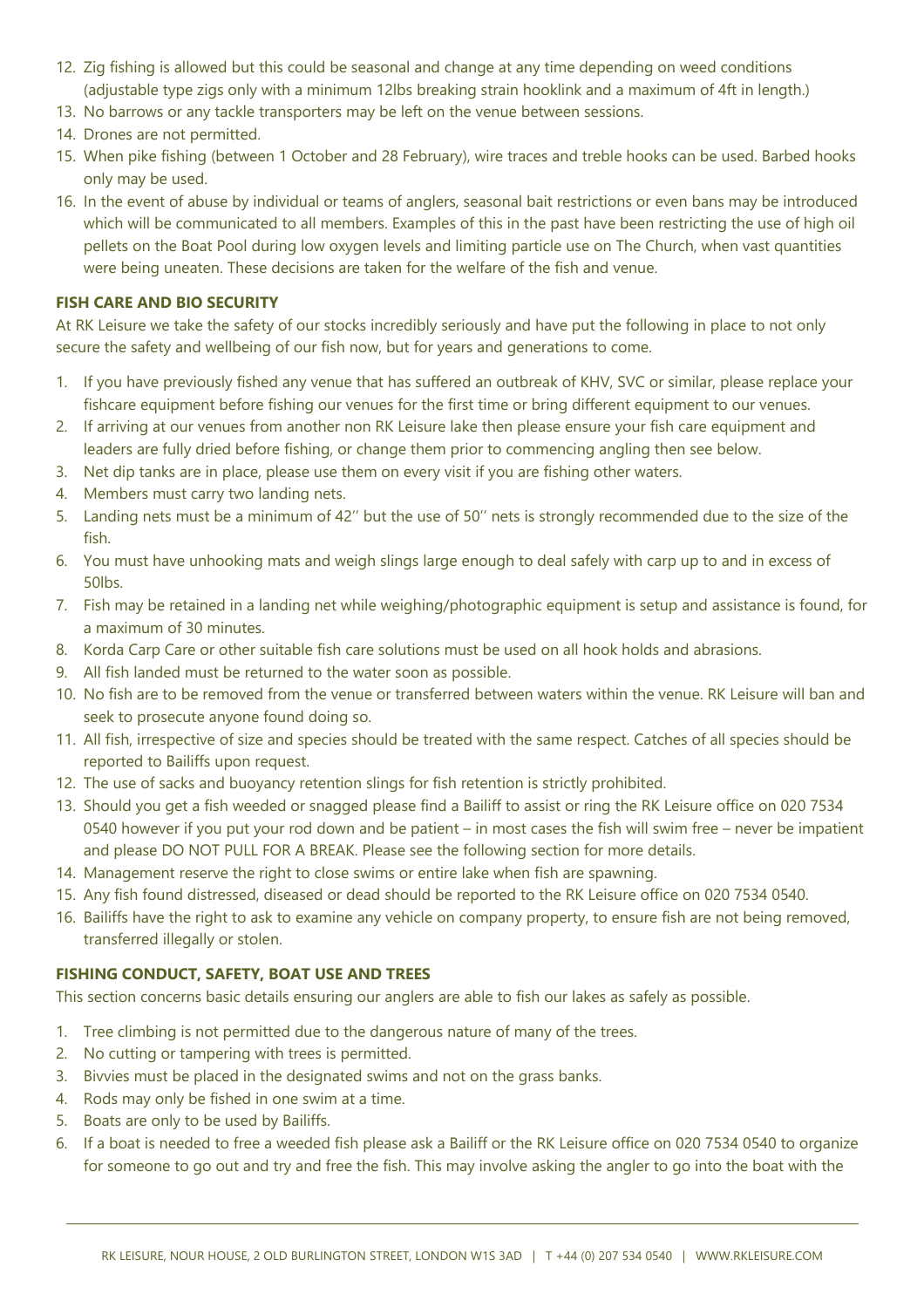- 12. Zig fishing is allowed but this could be seasonal and change at any time depending on weed conditions (adjustable type zigs only with a minimum 12lbs breaking strain hooklink and a maximum of 4ft in length.)
- 13. No barrows or any tackle transporters may be left on the venue between sessions.
- 14. Drones are not permitted.
- 15. When pike fishing (between 1 October and 28 February), wire traces and treble hooks can be used. Barbed hooks only may be used.
- 16. In the event of abuse by individual or teams of anglers, seasonal bait restrictions or even bans may be introduced which will be communicated to all members. Examples of this in the past have been restricting the use of high oil pellets on the Boat Pool during low oxygen levels and limiting particle use on The Church, when vast quantities were being uneaten. These decisions are taken for the welfare of the fish and venue.

# **FISH CARE AND BIO SECURITY**

At RK Leisure we take the safety of our stocks incredibly seriously and have put the following in place to not only secure the safety and wellbeing of our fish now, but for years and generations to come.

- 1. If you have previously fished any venue that has suffered an outbreak of KHV, SVC or similar, please replace your fishcare equipment before fishing our venues for the first time or bring different equipment to our venues.
- 2. If arriving at our venues from another non RK Leisure lake then please ensure your fish care equipment and leaders are fully dried before fishing, or change them prior to commencing angling then see below.
- 3. Net dip tanks are in place, please use them on every visit if you are fishing other waters.
- 4. Members must carry two landing nets.
- 5. Landing nets must be a minimum of 42'' but the use of 50'' nets is strongly recommended due to the size of the fish.
- 6. You must have unhooking mats and weigh slings large enough to deal safely with carp up to and in excess of 50lbs.
- 7. Fish may be retained in a landing net while weighing/photographic equipment is setup and assistance is found, for a maximum of 30 minutes.
- 8. Korda Carp Care or other suitable fish care solutions must be used on all hook holds and abrasions.
- 9. All fish landed must be returned to the water soon as possible.
- 10. No fish are to be removed from the venue or transferred between waters within the venue. RK Leisure will ban and seek to prosecute anyone found doing so.
- 11. All fish, irrespective of size and species should be treated with the same respect. Catches of all species should be reported to Bailiffs upon request.
- 12. The use of sacks and buoyancy retention slings for fish retention is strictly prohibited.
- 13. Should you get a fish weeded or snagged please find a Bailiff to assist or ring the RK Leisure office on 020 7534 0540 however if you put your rod down and be patient – in most cases the fish will swim free – never be impatient and please DO NOT PULL FOR A BREAK. Please see the following section for more details.
- 14. Management reserve the right to close swims or entire lake when fish are spawning.
- 15. Any fish found distressed, diseased or dead should be reported to the RK Leisure office on 020 7534 0540.
- 16. Bailiffs have the right to ask to examine any vehicle on company property, to ensure fish are not being removed, transferred illegally or stolen.

### **FISHING CONDUCT, SAFETY, BOAT USE AND TREES**

This section concerns basic details ensuring our anglers are able to fish our lakes as safely as possible.

- 1. Tree climbing is not permitted due to the dangerous nature of many of the trees.
- 2. No cutting or tampering with trees is permitted.
- 3. Bivvies must be placed in the designated swims and not on the grass banks.
- 4. Rods may only be fished in one swim at a time.
- 5. Boats are only to be used by Bailiffs.
- 6. If a boat is needed to free a weeded fish please ask a Bailiff or the RK Leisure office on 020 7534 0540 to organize for someone to go out and try and free the fish. This may involve asking the angler to go into the boat with the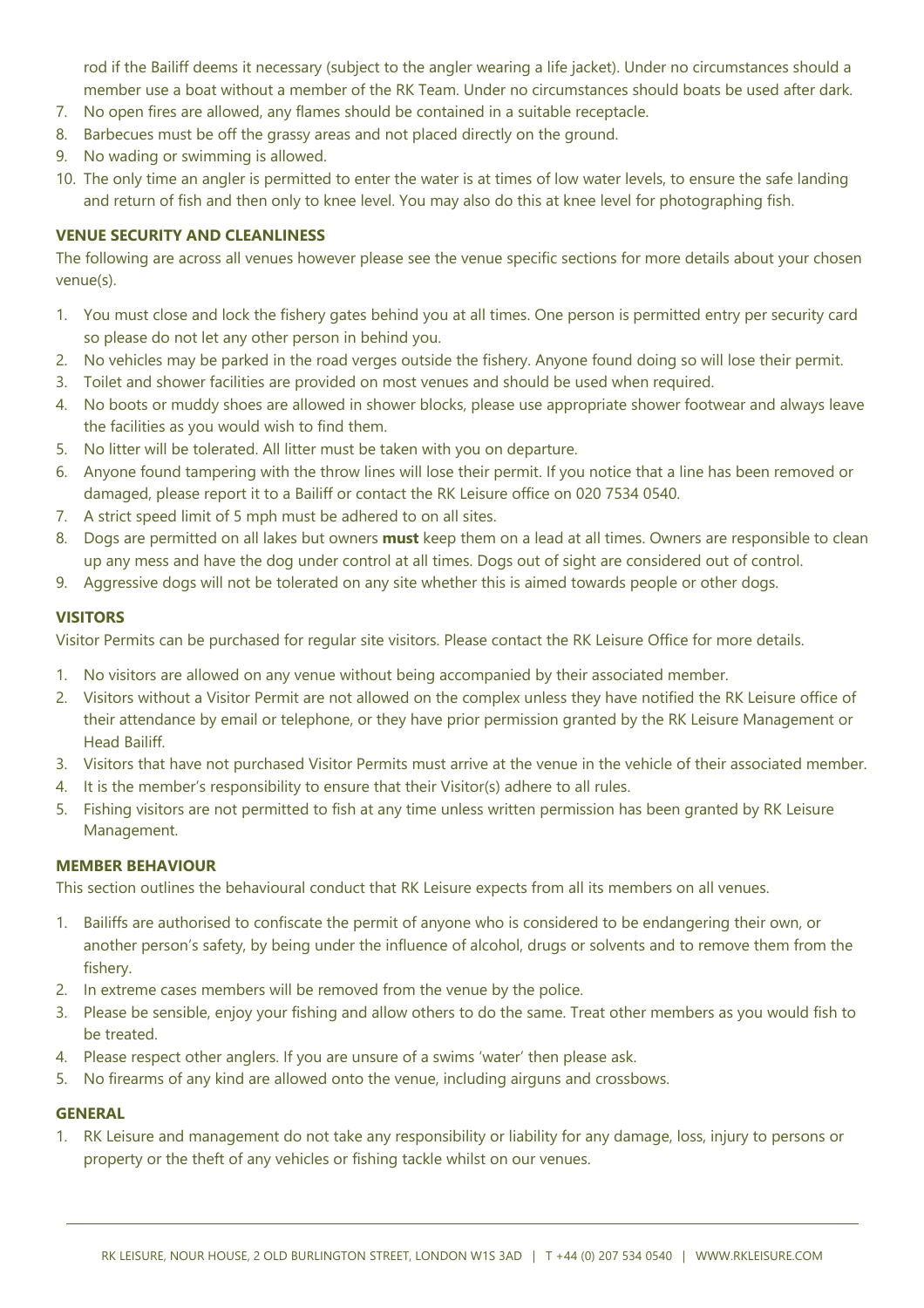rod if the Bailiff deems it necessary (subject to the angler wearing a life jacket). Under no circumstances should a member use a boat without a member of the RK Team. Under no circumstances should boats be used after dark.

- 7. No open fires are allowed, any flames should be contained in a suitable receptacle.
- 8. Barbecues must be off the grassy areas and not placed directly on the ground.
- 9. No wading or swimming is allowed.
- 10. The only time an angler is permitted to enter the water is at times of low water levels, to ensure the safe landing and return of fish and then only to knee level. You may also do this at knee level for photographing fish.

### **VENUE SECURITY AND CLEANLINESS**

The following are across all venues however please see the venue specific sections for more details about your chosen venue(s).

- 1. You must close and lock the fishery gates behind you at all times. One person is permitted entry per security card so please do not let any other person in behind you.
- 2. No vehicles may be parked in the road verges outside the fishery. Anyone found doing so will lose their permit.
- 3. Toilet and shower facilities are provided on most venues and should be used when required.
- 4. No boots or muddy shoes are allowed in shower blocks, please use appropriate shower footwear and always leave the facilities as you would wish to find them.
- 5. No litter will be tolerated. All litter must be taken with you on departure.
- 6. Anyone found tampering with the throw lines will lose their permit. If you notice that a line has been removed or damaged, please report it to a Bailiff or contact the RK Leisure office on 020 7534 0540.
- 7. A strict speed limit of 5 mph must be adhered to on all sites.
- 8. Dogs are permitted on all lakes but owners **must** keep them on a lead at all times. Owners are responsible to clean up any mess and have the dog under control at all times. Dogs out of sight are considered out of control.
- 9. Aggressive dogs will not be tolerated on any site whether this is aimed towards people or other dogs.

### **VISITORS**

Visitor Permits can be purchased for regular site visitors. Please contact the RK Leisure Office for more details.

- 1. No visitors are allowed on any venue without being accompanied by their associated member.
- 2. Visitors without a Visitor Permit are not allowed on the complex unless they have notified the RK Leisure office of their attendance by email or telephone, or they have prior permission granted by the RK Leisure Management or Head Bailiff.
- 3. Visitors that have not purchased Visitor Permits must arrive at the venue in the vehicle of their associated member.
- 4. It is the member's responsibility to ensure that their Visitor(s) adhere to all rules.
- 5. Fishing visitors are not permitted to fish at any time unless written permission has been granted by RK Leisure Management.

### **MEMBER BEHAVIOUR**

This section outlines the behavioural conduct that RK Leisure expects from all its members on all venues.

- 1. Bailiffs are authorised to confiscate the permit of anyone who is considered to be endangering their own, or another person's safety, by being under the influence of alcohol, drugs or solvents and to remove them from the fishery.
- 2. In extreme cases members will be removed from the venue by the police.
- 3. Please be sensible, enjoy your fishing and allow others to do the same. Treat other members as you would fish to be treated.
- 4. Please respect other anglers. If you are unsure of a swims 'water' then please ask.
- 5. No firearms of any kind are allowed onto the venue, including airguns and crossbows.

### **GENERAL**

1. RK Leisure and management do not take any responsibility or liability for any damage, loss, injury to persons or property or the theft of any vehicles or fishing tackle whilst on our venues.